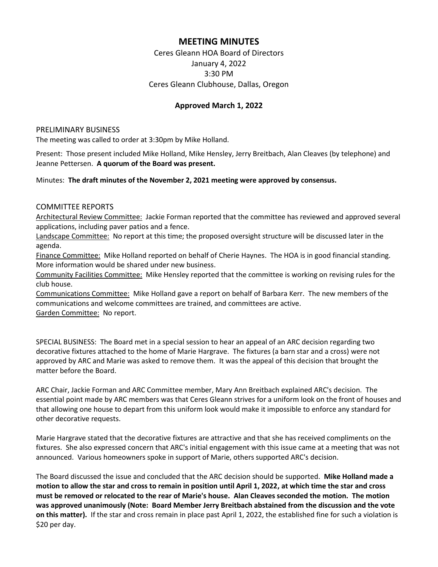# **MEETING MINUTES**

Ceres Gleann HOA Board of Directors January 4, 2022 3:30 PM Ceres Gleann Clubhouse, Dallas, Oregon

## **Approved March 1, 2022**

#### PRELIMINARY BUSINESS

The meeting was called to order at 3:30pm by Mike Holland.

Present: Those present included Mike Holland, Mike Hensley, Jerry Breitbach, Alan Cleaves (by telephone) and Jeanne Pettersen. **A quorum of the Board was present.**

#### Minutes: **The draft minutes of the November 2, 2021 meeting were approved by consensus.**

### COMMITTEE REPORTS

Architectural Review Committee: Jackie Forman reported that the committee has reviewed and approved several applications, including paver patios and a fence.

Landscape Committee: No report at this time; the proposed oversight structure will be discussed later in the agenda.

Finance Committee: Mike Holland reported on behalf of Cherie Haynes. The HOA is in good financial standing. More information would be shared under new business.

Community Facilities Committee: Mike Hensley reported that the committee is working on revising rules for the club house.

Communications Committee: Mike Holland gave a report on behalf of Barbara Kerr. The new members of the communications and welcome committees are trained, and committees are active. Garden Committee: No report.

SPECIAL BUSINESS: The Board met in a special session to hear an appeal of an ARC decision regarding two decorative fixtures attached to the home of Marie Hargrave. The fixtures (a barn star and a cross) were not approved by ARC and Marie was asked to remove them. It was the appeal of this decision that brought the matter before the Board.

ARC Chair, Jackie Forman and ARC Committee member, Mary Ann Breitbach explained ARC's decision. The essential point made by ARC members was that Ceres Gleann strives for a uniform look on the front of houses and that allowing one house to depart from this uniform look would make it impossible to enforce any standard for other decorative requests.

Marie Hargrave stated that the decorative fixtures are attractive and that she has received compliments on the fixtures. She also expressed concern that ARC's initial engagement with this issue came at a meeting that was not announced. Various homeowners spoke in support of Marie, others supported ARC's decision.

The Board discussed the issue and concluded that the ARC decision should be supported. **Mike Holland made a motion to allow the star and cross to remain in position until April 1, 2022, at which time the star and cross must be removed or relocated to the rear of Marie's house. Alan Cleaves seconded the motion. The motion was approved unanimously (Note: Board Member Jerry Breitbach abstained from the discussion and the vote on this matter).** If the star and cross remain in place past April 1, 2022, the established fine for such a violation is \$20 per day.